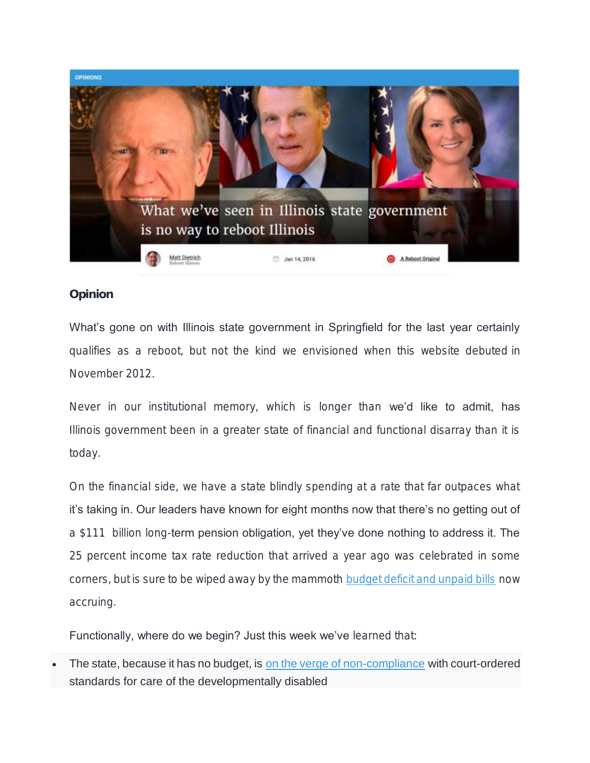

Opinion

What's gone on with Illinois state government in Springfield for the last year certainly qualifies as a reboot, but not the kind we envisioned when this website debuted in November 2012.

Never in our institutional memory, which is longer than we'd like to admit, has Illinois government been in a greater state of financial and functional disarray than it is today.

On the financial side, we have a state blindly spending at a rate that far outpaces what it's taking in. Our leaders have known for eight months now that there's no getting out of a \$111 billion long-term pension obligation, yet they've done nothing to address it. The 25 percent income tax rate reduction that arrived a year ago was celebrated in some corners, but is sure to be wiped away by the mammoth [budget deficit and unpaid bills](http://www.rebootillinois.com/wp-content/uploads/2016/01/3_Year_Budget_Forecast_FY16_to_FY19_January_2016.pdf) now accruing.

Functionally, where do we begin? Just this week we've learned that:

• *The state, because it has no budget, is [on the verge of non-compliance](http://www.rebootillinois.com/wp-content/uploads/2016/01/Ligas-Fourth-Annual-Report-of-the-Monitor-1-2016.pdf) with court-ordered standards for care of the developmentally disabled*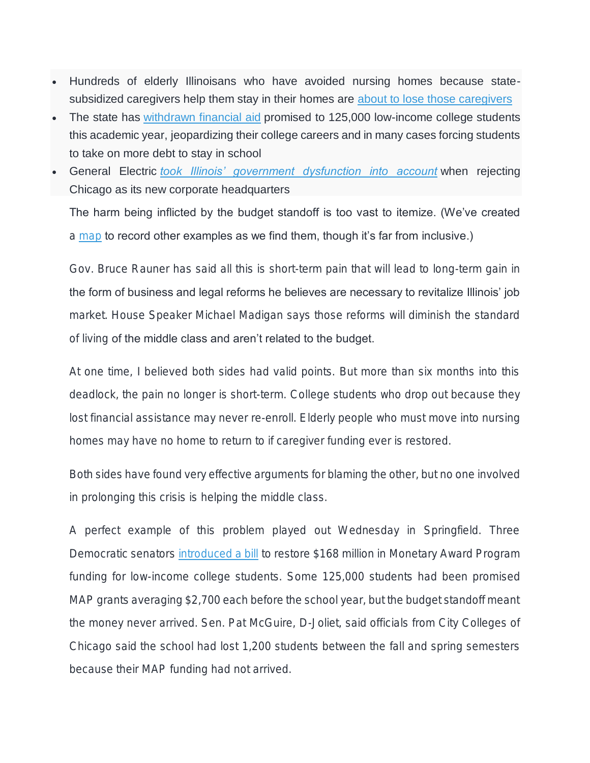- *Hundreds of elderly Illinoisans who have avoided nursing homes because statesubsidized caregivers help them stay in their homes are [about to lose those caregivers](https://www.google.com/url?sa=t&rct=j&q=&esrc=s&source=web&cd=1&cad=rja&uact=8&ved=0ahUKEwjz1a7v_anKAhWDJiYKHfPrAxEQFggdMAA&url=http%3A%2F%2Fwww.chicagotribune.com%2Fsuburbs%2Fdaily-southtown%2Fnews%2Fct-sta-kadner-senior-home-care-st-0114-20160113-column.html&usg=AFQjCNFvC1LLVXPYvMZ4qBeqksEh8j3Nwg&sig2=6kSfURpyuDsDqQDAyLbdqQ)*
- *The state has [withdrawn financial aid](http://www.nwitimes.com/news/local/govt-and-politics/democratic-senators-propose-new-bill-to-fund-map-grants/article_7a967c4c-0f9e-588a-88ed-1a3c7caf2945.html) promised to 125,000 low-income college students this academic year, jeopardizing their college careers and in many cases forcing students to take on more debt to stay in school*
- *General Electric [took Illinois' government dysfunction into account](https://www.google.com/url?sa=t&rct=j&q=&esrc=s&source=web&cd=1&cad=rja&uact=8&ved=0ahUKEwj-6ZepgqrKAhUE7yYKHXHRAY0QqQIIHTAA&url=http%3A%2F%2Fwww.chicagotribune.com%2Fbusiness%2Fct-ge-headquarters-boston-20160113-story.html&usg=AFQjCNHTRtTVvIhIVJtzw3F2yJ2Xb4aISw&sig2=DZZ-9a6ViIW9d0OFwilfsg&bvm=bv.111677986,d.eWE) when rejecting Chicago as its new corporate headquarters*

The harm being inflicted by the budget standoff is too vast to itemize. (We've created a [map](http://www.rebootillinois.com/2016/01/08/top-lists/rebootil/think-the-illinois-budget-crisis-isnt-having-an-effect-then-you-need-to-see-this/51102/) to record other examples as we find them, though it's far from inclusive.)

Gov. Bruce Rauner has said all this is short-term pain that will lead to long-term gain in the form of business and legal reforms he believes are necessary to revitalize Illinois' job market. House Speaker Michael Madigan says those reforms will diminish the standard of living of the middle class and aren't related to the budget.

At one time, I believed both sides had valid points. But more than six months into this deadlock, the pain no longer is short-term. College students who drop out because they lost financial assistance may never re-enroll. Elderly people who must move into nursing homes may have no home to return to if caregiver funding ever is restored.

Both sides have found very effective arguments for blaming the other, but no one involved in prolonging this crisis is helping the middle class.

A perfect example of this problem played out Wednesday in Springfield. Three Democratic senators [introduced a bill](http://www.ilga.gov/legislation/99/SB/PDF/09900SB2226lv.pdf) to restore \$168 million in Monetary Award Program funding for low-income college students. Some 125,000 students had been promised MAP grants averaging \$2,700 each before the school year, but the budget standoff meant the money never arrived. Sen. Pat McGuire, D-Joliet, said officials from City Colleges of Chicago said the school had lost 1,200 students between the fall and spring semesters because their MAP funding had not arrived.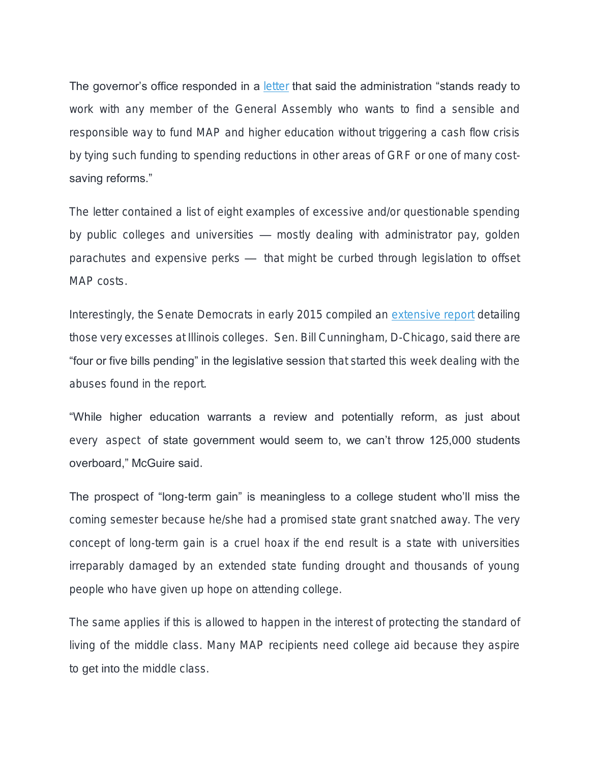The governor's office responded in a [letter](http://capitolfax.com/2016/01/13/goldberg-tie-map-grant-funding-to-university-spending-restrictions-or-reforms/) that said the administration "stands ready to work with any member of the General Assembly who wants to find a sensible and responsible way to fund MAP and higher education without triggering a cash flow crisis by tying such funding to spending reductions in other areas of GRF or one of many costsaving reforms."

The letter contained a list of eight examples of excessive and/or questionable spending by public colleges and universities — mostly dealing with administrator pay, golden parachutes and expensive perks — that might be curbed through legislation to offset MAP costs.

Interestingly, the Senate Democrats in early 2015 compiled an [extensive report](http://www.rebootillinois.com/wp-content/uploads/2016/01/Illinois_Higher_Ed_Comp_Report_Final.pdf) detailing those very excesses at Illinois colleges. Sen. Bill Cunningham, D-Chicago, said there are "four or five bills pending" in the legislative session that started this week dealing with the abuses found in the report.

"While higher education warrants a review and potentially reform, as just about every aspect of state government would seem to, we can't throw 125,000 students overboard," McGuire said.

The prospect of "long-term gain" is meaningless to a college student who'll miss the coming semester because he/she had a promised state grant snatched away. The very concept of long-term gain is a cruel hoax if the end result is a state with universities irreparably damaged by an extended state funding drought and thousands of young people who have given up hope on attending college.

The same applies if this is allowed to happen in the interest of protecting the standard of living of the middle class. Many MAP recipients need college aid because they aspire to *get into* the middle class.